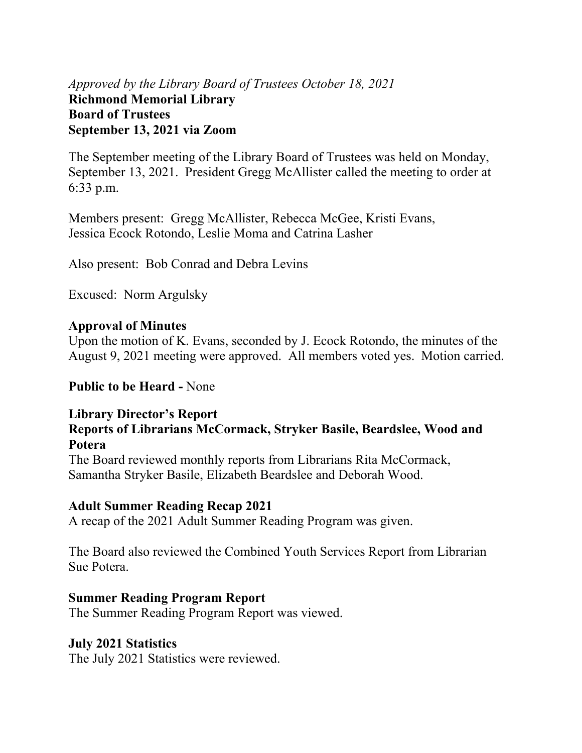# *Approved by the Library Board of Trustees October 18, 2021* **Richmond Memorial Library Board of Trustees September 13, 2021 via Zoom**

The September meeting of the Library Board of Trustees was held on Monday, September 13, 2021. President Gregg McAllister called the meeting to order at 6:33 p.m.

Members present: Gregg McAllister, Rebecca McGee, Kristi Evans, Jessica Ecock Rotondo, Leslie Moma and Catrina Lasher

Also present: Bob Conrad and Debra Levins

Excused: Norm Argulsky

## **Approval of Minutes**

Upon the motion of K. Evans, seconded by J. Ecock Rotondo, the minutes of the August 9, 2021 meeting were approved. All members voted yes. Motion carried.

## **Public to be Heard -** None

# **Library Director's Report**

#### **Reports of Librarians McCormack, Stryker Basile, Beardslee, Wood and Potera**

The Board reviewed monthly reports from Librarians Rita McCormack, Samantha Stryker Basile, Elizabeth Beardslee and Deborah Wood.

## **Adult Summer Reading Recap 2021**

A recap of the 2021 Adult Summer Reading Program was given.

The Board also reviewed the Combined Youth Services Report from Librarian Sue Potera.

## **Summer Reading Program Report**

The Summer Reading Program Report was viewed.

# **July 2021 Statistics**

The July 2021 Statistics were reviewed.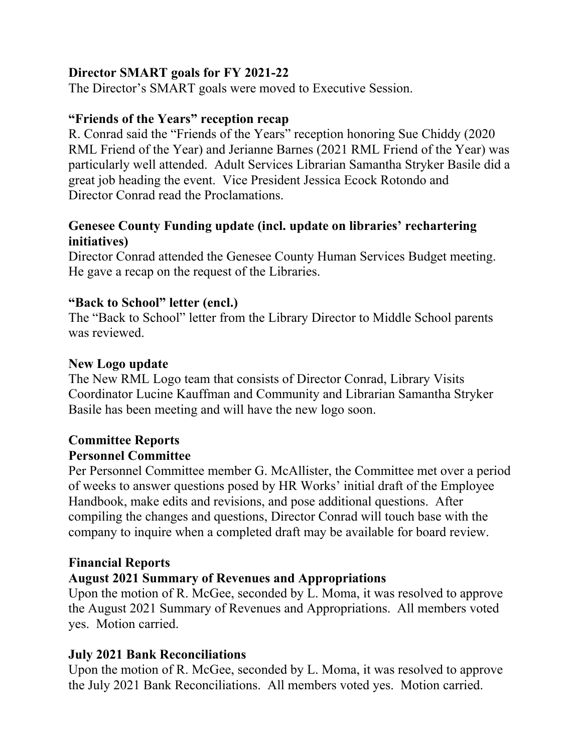# **Director SMART goals for FY 2021-22**

The Director's SMART goals were moved to Executive Session.

## **"Friends of the Years" reception recap**

R. Conrad said the "Friends of the Years" reception honoring Sue Chiddy (2020 RML Friend of the Year) and Jerianne Barnes (2021 RML Friend of the Year) was particularly well attended. Adult Services Librarian Samantha Stryker Basile did a great job heading the event. Vice President Jessica Ecock Rotondo and Director Conrad read the Proclamations.

## **Genesee County Funding update (incl. update on libraries' rechartering initiatives)**

Director Conrad attended the Genesee County Human Services Budget meeting. He gave a recap on the request of the Libraries.

## **"Back to School" letter (encl.)**

The "Back to School" letter from the Library Director to Middle School parents was reviewed.

#### **New Logo update**

The New RML Logo team that consists of Director Conrad, Library Visits Coordinator Lucine Kauffman and Community and Librarian Samantha Stryker Basile has been meeting and will have the new logo soon.

#### **Committee Reports Personnel Committee**

Per Personnel Committee member G. McAllister, the Committee met over a period of weeks to answer questions posed by HR Works' initial draft of the Employee Handbook, make edits and revisions, and pose additional questions. After compiling the changes and questions, Director Conrad will touch base with the company to inquire when a completed draft may be available for board review.

## **Financial Reports**

## **August 2021 Summary of Revenues and Appropriations**

Upon the motion of R. McGee, seconded by L. Moma, it was resolved to approve the August 2021 Summary of Revenues and Appropriations. All members voted yes. Motion carried.

## **July 2021 Bank Reconciliations**

Upon the motion of R. McGee, seconded by L. Moma, it was resolved to approve the July 2021 Bank Reconciliations. All members voted yes. Motion carried.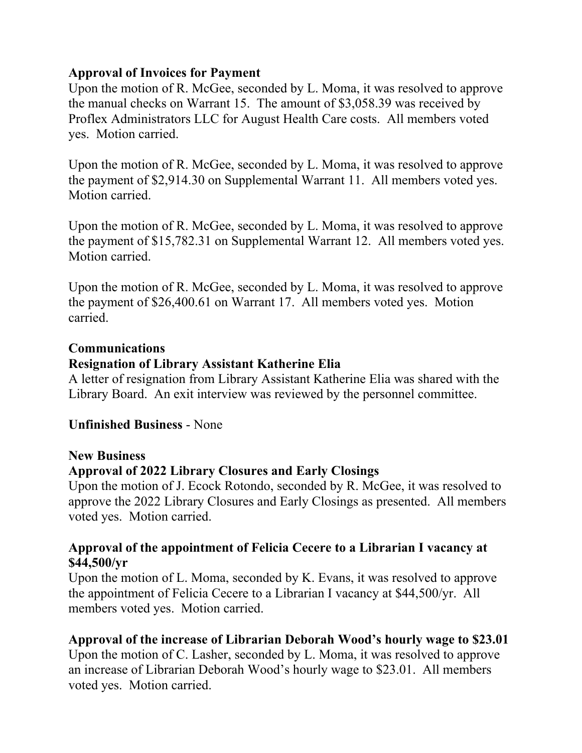## **Approval of Invoices for Payment**

Upon the motion of R. McGee, seconded by L. Moma, it was resolved to approve the manual checks on Warrant 15. The amount of \$3,058.39 was received by Proflex Administrators LLC for August Health Care costs. All members voted yes. Motion carried.

Upon the motion of R. McGee, seconded by L. Moma, it was resolved to approve the payment of \$2,914.30 on Supplemental Warrant 11. All members voted yes. Motion carried.

Upon the motion of R. McGee, seconded by L. Moma, it was resolved to approve the payment of \$15,782.31 on Supplemental Warrant 12. All members voted yes. Motion carried.

Upon the motion of R. McGee, seconded by L. Moma, it was resolved to approve the payment of \$26,400.61 on Warrant 17. All members voted yes. Motion carried.

#### **Communications**

## **Resignation of Library Assistant Katherine Elia**

A letter of resignation from Library Assistant Katherine Elia was shared with the Library Board. An exit interview was reviewed by the personnel committee.

## **Unfinished Business** - None

#### **New Business**

## **Approval of 2022 Library Closures and Early Closings**

Upon the motion of J. Ecock Rotondo, seconded by R. McGee, it was resolved to approve the 2022 Library Closures and Early Closings as presented. All members voted yes. Motion carried.

#### **Approval of the appointment of Felicia Cecere to a Librarian I vacancy at \$44,500/yr**

Upon the motion of L. Moma, seconded by K. Evans, it was resolved to approve the appointment of Felicia Cecere to a Librarian I vacancy at \$44,500/yr.All members voted yes. Motion carried.

## **Approval of the increase of Librarian Deborah Wood's hourly wage to \$23.01**

Upon the motion of C. Lasher, seconded by L. Moma, it was resolved to approve an increase of Librarian Deborah Wood's hourly wage to \$23.01. All members voted yes. Motion carried.